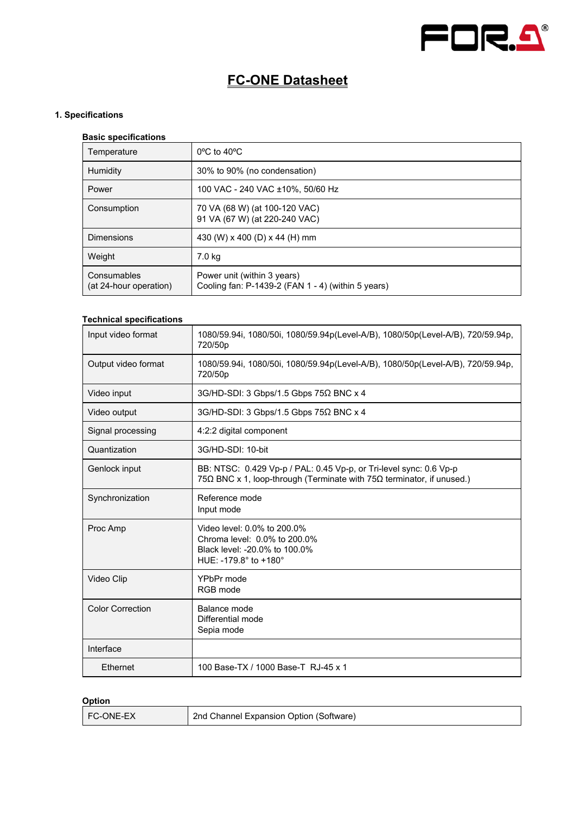

# **FC-ONE Datasheet**

# **1. Specifications**

#### **Basic specifications**

| Temperature                           | $0^{\circ}$ C to 40 $^{\circ}$ C                                                  |
|---------------------------------------|-----------------------------------------------------------------------------------|
| Humidity                              | 30% to 90% (no condensation)                                                      |
| Power                                 | 100 VAC - 240 VAC ±10%, 50/60 Hz                                                  |
| Consumption                           | 70 VA (68 W) (at 100-120 VAC)<br>91 VA (67 W) (at 220-240 VAC)                    |
| Dimensions                            | 430 (W) x 400 (D) x 44 (H) mm                                                     |
| Weight                                | 7.0 kg                                                                            |
| Consumables<br>(at 24-hour operation) | Power unit (within 3 years)<br>Cooling fan: P-1439-2 (FAN 1 - 4) (within 5 years) |

## **Technical specifications**

| Input video format      | 1080/59.94i, 1080/50i, 1080/59.94p(Level-A/B), 1080/50p(Level-A/B), 720/59.94p,<br>720/50p                                                    |
|-------------------------|-----------------------------------------------------------------------------------------------------------------------------------------------|
| Output video format     | 1080/59.94i, 1080/50i, 1080/59.94p(Level-A/B), 1080/50p(Level-A/B), 720/59.94p,<br>720/50p                                                    |
| Video input             | 3G/HD-SDI: 3 Gbps/1.5 Gbps 75Ω BNC x 4                                                                                                        |
| Video output            | 3G/HD-SDI: 3 Gbps/1.5 Gbps 75Ω BNC x 4                                                                                                        |
| Signal processing       | 4:2:2 digital component                                                                                                                       |
| Quantization            | 3G/HD-SDI: 10-bit                                                                                                                             |
| Genlock input           | BB: NTSC: 0.429 Vp-p / PAL: 0.45 Vp-p, or Tri-level sync: 0.6 Vp-p<br>75Ω BNC x 1, loop-through (Terminate with $75Ω$ terminator, if unused.) |
| Synchronization         | Reference mode<br>Input mode                                                                                                                  |
| Proc Amp                | Video level: 0.0% to 200.0%<br>Chroma level: 0.0% to 200.0%<br>Black level: -20.0% to 100.0%<br>HUE: -179.8° to +180°                         |
| Video Clip              | YPbPr mode<br>RGB mode                                                                                                                        |
| <b>Color Correction</b> | Balance mode<br>Differential mode<br>Sepia mode                                                                                               |
| Interface               |                                                                                                                                               |
| Ethernet                | 100 Base-TX / 1000 Base-T RJ-45 x 1                                                                                                           |

## **Option**

| <b>FC-ONE-EX</b> | 2nd Channel Expansion Option (Software) |
|------------------|-----------------------------------------|
|------------------|-----------------------------------------|